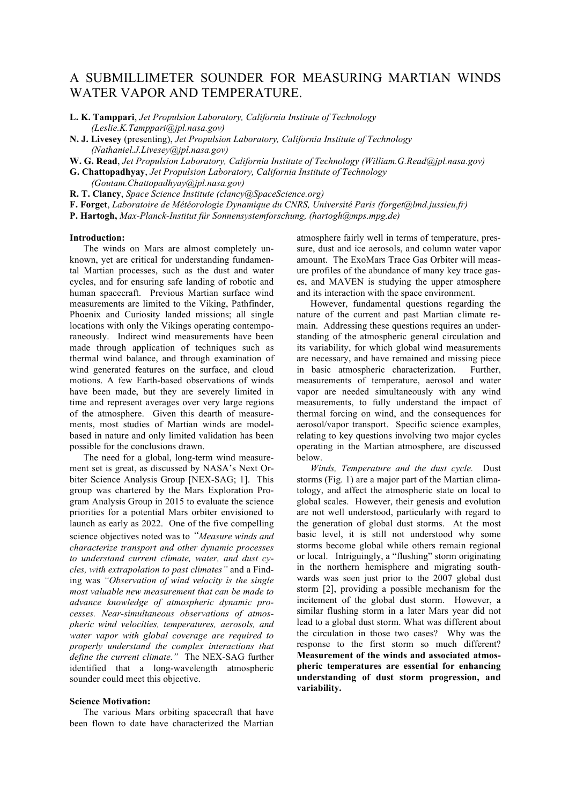# A SUBMILLIMETER SOUNDER FOR MEASURING MARTIAN WINDS WATER VAPOR AND TEMPERATURE.

**L. K. Tamppari**, *Jet Propulsion Laboratory, California Institute of Technology (Leslie.K.Tamppari@jpl.nasa.gov)*

- **N. J. Livesey** (presenting), *Jet Propulsion Laboratory, California Institute of Technology (Nathaniel.J.Livesey@jpl.nasa.gov)*
- **W. G. Read**, *Jet Propulsion Laboratory, California Institute of Technology (William.G.Read@jpl.nasa.gov)*
- **G. Chattopadhyay**, *Jet Propulsion Laboratory, California Institute of Technology (Goutam.Chattopadhyay@jpl.nasa.gov)*

**R. T. Clancy**, *Space Science Institute (clancy@SpaceScience.org)*

**F. Forget**, *Laboratoire de Météorologie Dynamique du CNRS, Université Paris (forget@lmd.jussieu.fr)*

**P. Hartogh,** *Max-Planck-Institut für Sonnensystemforschung, (hartogh@mps.mpg.de)*

#### **Introduction:**

The winds on Mars are almost completely unknown, yet are critical for understanding fundamental Martian processes, such as the dust and water cycles, and for ensuring safe landing of robotic and human spacecraft. Previous Martian surface wind measurements are limited to the Viking, Pathfinder, Phoenix and Curiosity landed missions; all single locations with only the Vikings operating contemporaneously. Indirect wind measurements have been made through application of techniques such as thermal wind balance, and through examination of wind generated features on the surface, and cloud motions. A few Earth-based observations of winds have been made, but they are severely limited in time and represent averages over very large regions of the atmosphere. Given this dearth of measurements, most studies of Martian winds are modelbased in nature and only limited validation has been possible for the conclusions drawn.

The need for a global, long-term wind measurement set is great, as discussed by NASA's Next Orbiter Science Analysis Group [NEX-SAG; 1]. This group was chartered by the Mars Exploration Program Analysis Group in 2015 to evaluate the science priorities for a potential Mars orbiter envisioned to launch as early as 2022. One of the five compelling science objectives noted was to *"Measure winds and characterize transport and other dynamic processes to understand current climate, water, and dust cycles, with extrapolation to past climates"* and a Finding was *"Observation of wind velocity is the single most valuable new measurement that can be made to advance knowledge of atmospheric dynamic processes. Near-simultaneous observations of atmospheric wind velocities, temperatures, aerosols, and water vapor with global coverage are required to properly understand the complex interactions that define the current climate."* The NEX-SAG further identified that a long-wavelength atmospheric sounder could meet this objective.

#### **Science Motivation:**

The various Mars orbiting spacecraft that have been flown to date have characterized the Martian atmosphere fairly well in terms of temperature, pressure, dust and ice aerosols, and column water vapor amount. The ExoMars Trace Gas Orbiter will measure profiles of the abundance of many key trace gases, and MAVEN is studying the upper atmosphere and its interaction with the space environment.

However, fundamental questions regarding the nature of the current and past Martian climate remain. Addressing these questions requires an understanding of the atmospheric general circulation and its variability, for which global wind measurements are necessary, and have remained and missing piece in basic atmospheric characterization. Further, measurements of temperature, aerosol and water vapor are needed simultaneously with any wind measurements, to fully understand the impact of thermal forcing on wind, and the consequences for aerosol/vapor transport. Specific science examples, relating to key questions involving two major cycles operating in the Martian atmosphere, are discussed below.

*Winds, Temperature and the dust cycle.* Dust storms (Fig. 1) are a major part of the Martian climatology, and affect the atmospheric state on local to global scales. However, their genesis and evolution are not well understood, particularly with regard to the generation of global dust storms. At the most basic level, it is still not understood why some storms become global while others remain regional or local. Intriguingly, a "flushing" storm originating in the northern hemisphere and migrating southwards was seen just prior to the 2007 global dust storm [2], providing a possible mechanism for the incitement of the global dust storm. However, a similar flushing storm in a later Mars year did not lead to a global dust storm. What was different about the circulation in those two cases? Why was the response to the first storm so much different? **Measurement of the winds and associated atmospheric temperatures are essential for enhancing understanding of dust storm progression, and variability.**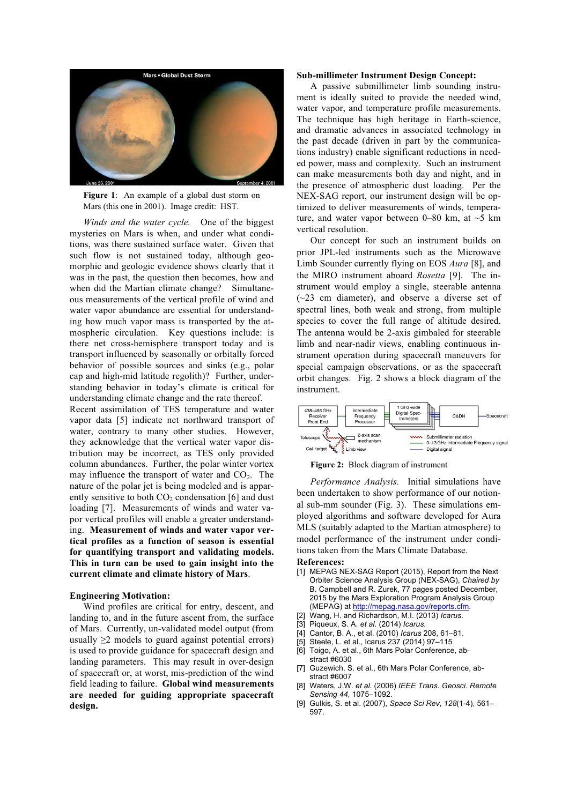

**Figure 1**: An example of a global dust storm on Mars (this one in 2001). Image credit: HST.

*Winds and the water cycle.* One of the biggest mysteries on Mars is when, and under what conditions, was there sustained surface water. Given that such flow is not sustained today, although geomorphic and geologic evidence shows clearly that it was in the past, the question then becomes, how and when did the Martian climate change? Simultaneous measurements of the vertical profile of wind and water vapor abundance are essential for understanding how much vapor mass is transported by the atmospheric circulation. Key questions include: is there net cross-hemisphere transport today and is transport influenced by seasonally or orbitally forced behavior of possible sources and sinks (e.g., polar cap and high-mid latitude regolith)? Further, understanding behavior in today's climate is critical for understanding climate change and the rate thereof.

Recent assimilation of TES temperature and water vapor data [5] indicate net northward transport of water, contrary to many other studies. However, they acknowledge that the vertical water vapor distribution may be incorrect, as TES only provided column abundances. Further, the polar winter vortex may influence the transport of water and  $CO<sub>2</sub>$ . The nature of the polar jet is being modeled and is apparently sensitive to both  $CO<sub>2</sub>$  condensation [6] and dust loading [7]. Measurements of winds and water vapor vertical profiles will enable a greater understanding. **Measurement of winds and water vapor vertical profiles as a function of season is essential for quantifying transport and validating models. This in turn can be used to gain insight into the current climate and climate history of Mars**.

#### **Engineering Motivation:**

Wind profiles are critical for entry, descent, and landing to, and in the future ascent from, the surface of Mars. Currently, un-validated model output (from usually  $\geq 2$  models to guard against potential errors) is used to provide guidance for spacecraft design and landing parameters. This may result in over-design of spacecraft or, at worst, mis-prediction of the wind field leading to failure. **Global wind measurements are needed for guiding appropriate spacecraft design.**

### **Sub-millimeter Instrument Design Concept:**

A passive submillimeter limb sounding instrument is ideally suited to provide the needed wind, water vapor, and temperature profile measurements. The technique has high heritage in Earth-science, and dramatic advances in associated technology in the past decade (driven in part by the communications industry) enable significant reductions in needed power, mass and complexity. Such an instrument can make measurements both day and night, and in the presence of atmospheric dust loading. Per the NEX-SAG report, our instrument design will be optimized to deliver measurements of winds, temperature, and water vapor between 0–80 km, at  $\sim$ 5 km vertical resolution.

Our concept for such an instrument builds on prior JPL-led instruments such as the Microwave Limb Sounder currently flying on EOS *Aura* [8], and the MIRO instrument aboard *Rosetta* [9]. The instrument would employ a single, steerable antenna (~23 cm diameter), and observe a diverse set of spectral lines, both weak and strong, from multiple species to cover the full range of altitude desired. The antenna would be 2-axis gimbaled for steerable limb and near-nadir views, enabling continuous instrument operation during spacecraft maneuvers for special campaign observations, or as the spacecraft orbit changes. Fig. 2 shows a block diagram of the instrument.



**Figure 2:** Block diagram of instrument

*Performance Analysis.* Initial simulations have been undertaken to show performance of our notional sub-mm sounder (Fig. 3). These simulations employed algorithms and software developed for Aura MLS (suitably adapted to the Martian atmosphere) to model performance of the instrument under conditions taken from the Mars Climate Database.

## **References:**

- [1] MEPAG NEX-SAG Report (2015), Report from the Next Orbiter Science Analysis Group (NEX-SAG), *Chaired by* B. Campbell and R. Zurek, 77 pages posted December, 2015 by the Mars Exploration Program Analysis Group (MEPAG) at http://mepag.nasa.gov/reports.cfm.
- [2] Wang, H. and Richardson, M.I. (2013) *Icarus*.
- [3] Piqueux, S. A. *et al.* (2014) *Icarus*.
- [4] Cantor,\$B.\$A.,\$et\$al.\$(2010)\$*Icarus* 208,\$61–81.
- [5] Steele, L. et al., Icarus 237 (2014) 97-115
- [6] Toigo, A. et al., 6th Mars Polar Conference, abstract #6030
- [7] Guzewich, S. et al., 6th Mars Polar Conference, abstract #6007
- [8] Waters, J.W. et al. (2006) IEEE Trans. Geosci. Remote Sensing 44, 1075–1092.
- [9] Gulkis, S. et al. (2007), Space Sci Rev,  $128(1-4)$ , 561– 597.